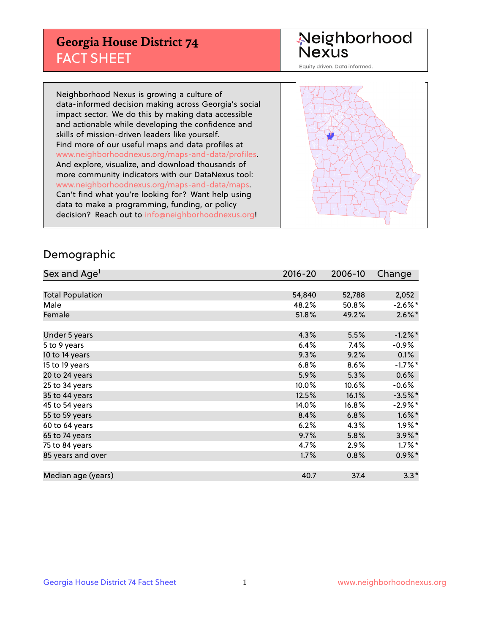## **Georgia House District 74** FACT SHEET

# Neighborhood<br>Nexus

Equity driven. Data informed.

Neighborhood Nexus is growing a culture of data-informed decision making across Georgia's social impact sector. We do this by making data accessible and actionable while developing the confidence and skills of mission-driven leaders like yourself. Find more of our useful maps and data profiles at www.neighborhoodnexus.org/maps-and-data/profiles. And explore, visualize, and download thousands of more community indicators with our DataNexus tool: www.neighborhoodnexus.org/maps-and-data/maps. Can't find what you're looking for? Want help using data to make a programming, funding, or policy decision? Reach out to [info@neighborhoodnexus.org!](mailto:info@neighborhoodnexus.org)



### Demographic

| Sex and Age <sup>1</sup> | $2016 - 20$ | 2006-10 | Change     |
|--------------------------|-------------|---------|------------|
|                          |             |         |            |
| <b>Total Population</b>  | 54,840      | 52,788  | 2,052      |
| Male                     | 48.2%       | 50.8%   | $-2.6\%$ * |
| Female                   | 51.8%       | 49.2%   | $2.6\%$ *  |
|                          |             |         |            |
| Under 5 years            | 4.3%        | 5.5%    | $-1.2%$ *  |
| 5 to 9 years             | 6.4%        | 7.4%    | $-0.9\%$   |
| 10 to 14 years           | 9.3%        | 9.2%    | 0.1%       |
| 15 to 19 years           | 6.8%        | 8.6%    | $-1.7%$ *  |
| 20 to 24 years           | 5.9%        | 5.3%    | 0.6%       |
| 25 to 34 years           | 10.0%       | 10.6%   | $-0.6\%$   |
| 35 to 44 years           | 12.5%       | 16.1%   | $-3.5%$ *  |
| 45 to 54 years           | 14.0%       | 16.8%   | $-2.9%$ *  |
| 55 to 59 years           | 8.4%        | 6.8%    | $1.6\%$ *  |
| 60 to 64 years           | 6.2%        | 4.3%    | $1.9\%$ *  |
| 65 to 74 years           | 9.7%        | 5.8%    | 3.9%*      |
| 75 to 84 years           | 4.7%        | 2.9%    | $1.7\%$ *  |
| 85 years and over        | 1.7%        | 0.8%    | $0.9\% *$  |
|                          |             |         |            |
| Median age (years)       | 40.7        | 37.4    | $3.3*$     |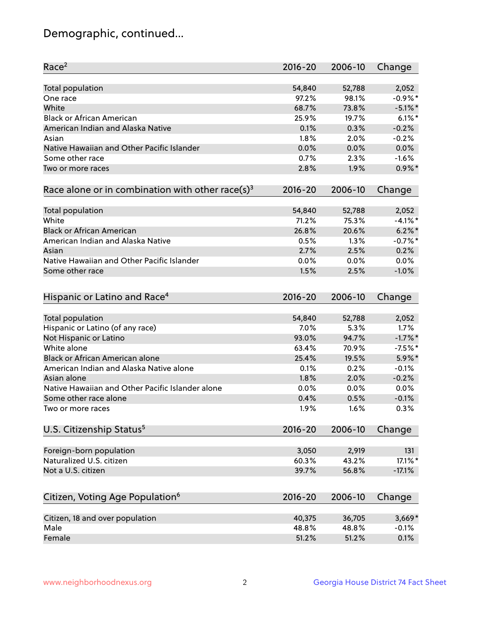## Demographic, continued...

| Race <sup>2</sup>                                            | $2016 - 20$ | 2006-10 | Change     |
|--------------------------------------------------------------|-------------|---------|------------|
| <b>Total population</b>                                      | 54,840      | 52,788  | 2,052      |
| One race                                                     | 97.2%       | 98.1%   | $-0.9\%$ * |
| White                                                        | 68.7%       | 73.8%   | $-5.1\%$ * |
| <b>Black or African American</b>                             | 25.9%       | 19.7%   | $6.1\%$ *  |
| American Indian and Alaska Native                            | 0.1%        | 0.3%    | $-0.2%$    |
| Asian                                                        | 1.8%        | 2.0%    | $-0.2%$    |
| Native Hawaiian and Other Pacific Islander                   | 0.0%        | 0.0%    | 0.0%       |
| Some other race                                              | 0.7%        | 2.3%    | $-1.6%$    |
| Two or more races                                            | 2.8%        | 1.9%    | $0.9\%$ *  |
| Race alone or in combination with other race(s) <sup>3</sup> | $2016 - 20$ | 2006-10 | Change     |
| Total population                                             | 54,840      | 52,788  | 2,052      |
| White                                                        | 71.2%       | 75.3%   | $-4.1\%$ * |
| <b>Black or African American</b>                             | 26.8%       | 20.6%   | $6.2\%$ *  |
| American Indian and Alaska Native                            | 0.5%        | 1.3%    | $-0.7%$ *  |
| Asian                                                        | 2.7%        | 2.5%    | 0.2%       |
| Native Hawaiian and Other Pacific Islander                   | 0.0%        | 0.0%    | 0.0%       |
| Some other race                                              | 1.5%        | 2.5%    | $-1.0%$    |
| Hispanic or Latino and Race <sup>4</sup>                     | $2016 - 20$ | 2006-10 | Change     |
| <b>Total population</b>                                      | 54,840      | 52,788  | 2,052      |
| Hispanic or Latino (of any race)                             | 7.0%        | 5.3%    | 1.7%       |
| Not Hispanic or Latino                                       | 93.0%       | 94.7%   | $-1.7%$ *  |
| White alone                                                  | 63.4%       | 70.9%   | $-7.5%$ *  |
| Black or African American alone                              | 25.4%       | 19.5%   | 5.9%*      |
| American Indian and Alaska Native alone                      | 0.1%        | 0.2%    | $-0.1%$    |
| Asian alone                                                  | 1.8%        | 2.0%    | $-0.2%$    |
| Native Hawaiian and Other Pacific Islander alone             | $0.0\%$     | 0.0%    | 0.0%       |
| Some other race alone                                        | 0.4%        | 0.5%    | $-0.1%$    |
| Two or more races                                            | 1.9%        | 1.6%    | 0.3%       |
| U.S. Citizenship Status <sup>5</sup>                         | $2016 - 20$ | 2006-10 | Change     |
|                                                              |             |         |            |
| Foreign-born population                                      | 3,050       | 2,919   | 131        |
| Naturalized U.S. citizen                                     | 60.3%       | 43.2%   | 17.1%*     |
| Not a U.S. citizen                                           | 39.7%       | 56.8%   | $-17.1%$   |
| Citizen, Voting Age Population <sup>6</sup>                  | 2016-20     | 2006-10 | Change     |
| Citizen, 18 and over population                              | 40,375      | 36,705  | $3,669*$   |
| Male                                                         | 48.8%       | 48.8%   | $-0.1%$    |
| Female                                                       | 51.2%       | 51.2%   | 0.1%       |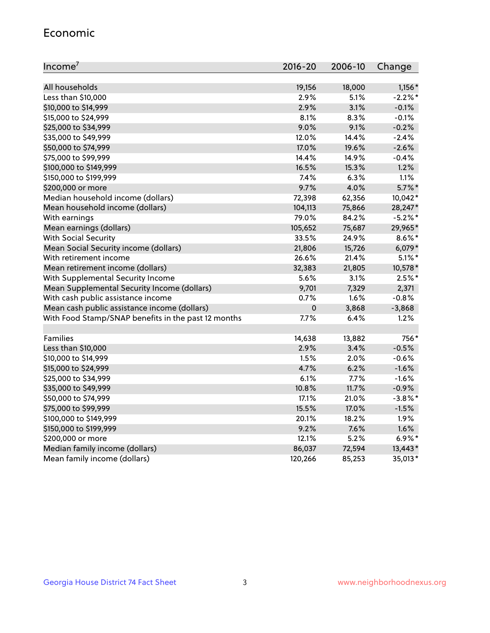#### Economic

| Income <sup>7</sup>                                 | $2016 - 20$ | 2006-10 | Change     |
|-----------------------------------------------------|-------------|---------|------------|
|                                                     |             |         |            |
| All households                                      | 19,156      | 18,000  | $1,156*$   |
| Less than \$10,000                                  | 2.9%        | 5.1%    | $-2.2%$    |
| \$10,000 to \$14,999                                | 2.9%        | 3.1%    | $-0.1%$    |
| \$15,000 to \$24,999                                | 8.1%        | 8.3%    | $-0.1%$    |
| \$25,000 to \$34,999                                | 9.0%        | 9.1%    | $-0.2%$    |
| \$35,000 to \$49,999                                | 12.0%       | 14.4%   | $-2.4%$    |
| \$50,000 to \$74,999                                | 17.0%       | 19.6%   | $-2.6%$    |
| \$75,000 to \$99,999                                | 14.4%       | 14.9%   | $-0.4%$    |
| \$100,000 to \$149,999                              | 16.5%       | 15.3%   | 1.2%       |
| \$150,000 to \$199,999                              | 7.4%        | 6.3%    | 1.1%       |
| \$200,000 or more                                   | 9.7%        | 4.0%    | $5.7\%$ *  |
| Median household income (dollars)                   | 72,398      | 62,356  | 10,042*    |
| Mean household income (dollars)                     | 104,113     | 75,866  | 28,247*    |
| With earnings                                       | 79.0%       | 84.2%   | $-5.2%$ *  |
| Mean earnings (dollars)                             | 105,652     | 75,687  | 29,965*    |
| <b>With Social Security</b>                         | 33.5%       | 24.9%   | $8.6\%$ *  |
| Mean Social Security income (dollars)               | 21,806      | 15,726  | $6,079*$   |
| With retirement income                              | 26.6%       | 21.4%   | $5.1\%$ *  |
| Mean retirement income (dollars)                    | 32,383      | 21,805  | 10,578 *   |
| With Supplemental Security Income                   | 5.6%        | 3.1%    | $2.5%$ *   |
| Mean Supplemental Security Income (dollars)         | 9,701       | 7,329   | 2,371      |
| With cash public assistance income                  | 0.7%        | 1.6%    | $-0.8%$    |
| Mean cash public assistance income (dollars)        | $\mathbf 0$ | 3,868   | $-3,868$   |
| With Food Stamp/SNAP benefits in the past 12 months | 7.7%        | 6.4%    | 1.2%       |
|                                                     |             |         |            |
| Families                                            | 14,638      | 13,882  | 756*       |
| Less than \$10,000                                  | 2.9%        | 3.4%    | $-0.5%$    |
| \$10,000 to \$14,999                                | 1.5%        | 2.0%    | $-0.6%$    |
| \$15,000 to \$24,999                                | 4.7%        | 6.2%    | $-1.6%$    |
| \$25,000 to \$34,999                                | 6.1%        | 7.7%    | $-1.6%$    |
| \$35,000 to \$49,999                                | 10.8%       | 11.7%   | $-0.9%$    |
| \$50,000 to \$74,999                                | 17.1%       | 21.0%   | $-3.8\%$ * |
| \$75,000 to \$99,999                                | 15.5%       | 17.0%   | $-1.5%$    |
| \$100,000 to \$149,999                              | 20.1%       | 18.2%   | 1.9%       |
| \$150,000 to \$199,999                              | 9.2%        | 7.6%    | 1.6%       |
| \$200,000 or more                                   | 12.1%       | 5.2%    | $6.9\%$ *  |
| Median family income (dollars)                      | 86,037      | 72,594  | 13,443*    |
| Mean family income (dollars)                        | 120,266     | 85,253  | 35,013*    |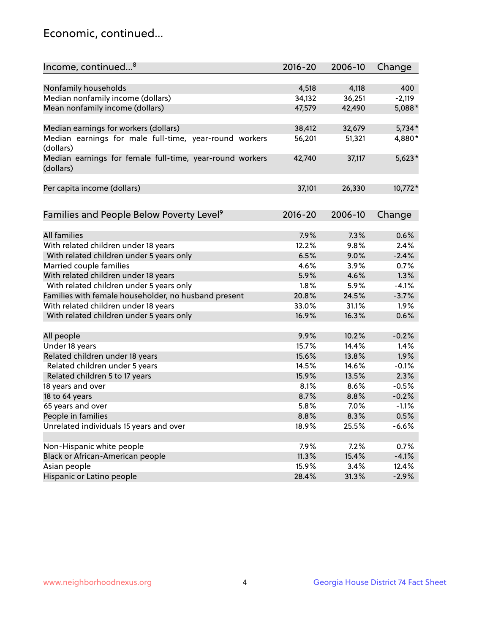## Economic, continued...

| Nonfamily households<br>4,518<br>4,118<br>400<br>Median nonfamily income (dollars)<br>34,132<br>36,251<br>$-2,119$<br>Mean nonfamily income (dollars)<br>5,088*<br>47,579<br>42,490<br>Median earnings for workers (dollars)<br>$5,734*$<br>38,412<br>32,679<br>Median earnings for male full-time, year-round workers<br>4,880*<br>56,201<br>51,321<br>(dollars)<br>$5,623*$<br>Median earnings for female full-time, year-round workers<br>42,740<br>37,117<br>(dollars)<br>10,772*<br>Per capita income (dollars)<br>37,101<br>26,330<br>Families and People Below Poverty Level <sup>9</sup><br>2016-20<br>2006-10<br>Change<br><b>All families</b><br>7.9%<br>7.3%<br>0.6%<br>With related children under 18 years<br>12.2%<br>9.8%<br>2.4%<br>With related children under 5 years only<br>6.5%<br>9.0%<br>$-2.4%$<br>Married couple families<br>4.6%<br>3.9%<br>0.7%<br>With related children under 18 years<br>4.6%<br>1.3%<br>5.9%<br>With related children under 5 years only<br>5.9%<br>$-4.1%$<br>1.8%<br>Families with female householder, no husband present<br>20.8%<br>24.5%<br>$-3.7%$<br>With related children under 18 years<br>33.0%<br>31.1%<br>1.9%<br>With related children under 5 years only<br>16.9%<br>16.3%<br>0.6%<br>$-0.2%$<br>All people<br>9.9%<br>10.2%<br>Under 18 years<br>1.4%<br>15.7%<br>14.4%<br>1.9%<br>Related children under 18 years<br>15.6%<br>13.8%<br>Related children under 5 years<br>14.5%<br>14.6%<br>$-0.1%$<br>2.3%<br>Related children 5 to 17 years<br>13.5%<br>15.9% | Income, continued <sup>8</sup> | $2016 - 20$ | 2006-10 | Change  |
|------------------------------------------------------------------------------------------------------------------------------------------------------------------------------------------------------------------------------------------------------------------------------------------------------------------------------------------------------------------------------------------------------------------------------------------------------------------------------------------------------------------------------------------------------------------------------------------------------------------------------------------------------------------------------------------------------------------------------------------------------------------------------------------------------------------------------------------------------------------------------------------------------------------------------------------------------------------------------------------------------------------------------------------------------------------------------------------------------------------------------------------------------------------------------------------------------------------------------------------------------------------------------------------------------------------------------------------------------------------------------------------------------------------------------------------------------------------------------------------------------------------------------|--------------------------------|-------------|---------|---------|
|                                                                                                                                                                                                                                                                                                                                                                                                                                                                                                                                                                                                                                                                                                                                                                                                                                                                                                                                                                                                                                                                                                                                                                                                                                                                                                                                                                                                                                                                                                                              |                                |             |         |         |
|                                                                                                                                                                                                                                                                                                                                                                                                                                                                                                                                                                                                                                                                                                                                                                                                                                                                                                                                                                                                                                                                                                                                                                                                                                                                                                                                                                                                                                                                                                                              |                                |             |         |         |
|                                                                                                                                                                                                                                                                                                                                                                                                                                                                                                                                                                                                                                                                                                                                                                                                                                                                                                                                                                                                                                                                                                                                                                                                                                                                                                                                                                                                                                                                                                                              |                                |             |         |         |
|                                                                                                                                                                                                                                                                                                                                                                                                                                                                                                                                                                                                                                                                                                                                                                                                                                                                                                                                                                                                                                                                                                                                                                                                                                                                                                                                                                                                                                                                                                                              |                                |             |         |         |
|                                                                                                                                                                                                                                                                                                                                                                                                                                                                                                                                                                                                                                                                                                                                                                                                                                                                                                                                                                                                                                                                                                                                                                                                                                                                                                                                                                                                                                                                                                                              |                                |             |         |         |
|                                                                                                                                                                                                                                                                                                                                                                                                                                                                                                                                                                                                                                                                                                                                                                                                                                                                                                                                                                                                                                                                                                                                                                                                                                                                                                                                                                                                                                                                                                                              |                                |             |         |         |
|                                                                                                                                                                                                                                                                                                                                                                                                                                                                                                                                                                                                                                                                                                                                                                                                                                                                                                                                                                                                                                                                                                                                                                                                                                                                                                                                                                                                                                                                                                                              |                                |             |         |         |
|                                                                                                                                                                                                                                                                                                                                                                                                                                                                                                                                                                                                                                                                                                                                                                                                                                                                                                                                                                                                                                                                                                                                                                                                                                                                                                                                                                                                                                                                                                                              |                                |             |         |         |
|                                                                                                                                                                                                                                                                                                                                                                                                                                                                                                                                                                                                                                                                                                                                                                                                                                                                                                                                                                                                                                                                                                                                                                                                                                                                                                                                                                                                                                                                                                                              |                                |             |         |         |
|                                                                                                                                                                                                                                                                                                                                                                                                                                                                                                                                                                                                                                                                                                                                                                                                                                                                                                                                                                                                                                                                                                                                                                                                                                                                                                                                                                                                                                                                                                                              |                                |             |         |         |
|                                                                                                                                                                                                                                                                                                                                                                                                                                                                                                                                                                                                                                                                                                                                                                                                                                                                                                                                                                                                                                                                                                                                                                                                                                                                                                                                                                                                                                                                                                                              |                                |             |         |         |
|                                                                                                                                                                                                                                                                                                                                                                                                                                                                                                                                                                                                                                                                                                                                                                                                                                                                                                                                                                                                                                                                                                                                                                                                                                                                                                                                                                                                                                                                                                                              |                                |             |         |         |
|                                                                                                                                                                                                                                                                                                                                                                                                                                                                                                                                                                                                                                                                                                                                                                                                                                                                                                                                                                                                                                                                                                                                                                                                                                                                                                                                                                                                                                                                                                                              |                                |             |         |         |
|                                                                                                                                                                                                                                                                                                                                                                                                                                                                                                                                                                                                                                                                                                                                                                                                                                                                                                                                                                                                                                                                                                                                                                                                                                                                                                                                                                                                                                                                                                                              |                                |             |         |         |
|                                                                                                                                                                                                                                                                                                                                                                                                                                                                                                                                                                                                                                                                                                                                                                                                                                                                                                                                                                                                                                                                                                                                                                                                                                                                                                                                                                                                                                                                                                                              |                                |             |         |         |
|                                                                                                                                                                                                                                                                                                                                                                                                                                                                                                                                                                                                                                                                                                                                                                                                                                                                                                                                                                                                                                                                                                                                                                                                                                                                                                                                                                                                                                                                                                                              |                                |             |         |         |
|                                                                                                                                                                                                                                                                                                                                                                                                                                                                                                                                                                                                                                                                                                                                                                                                                                                                                                                                                                                                                                                                                                                                                                                                                                                                                                                                                                                                                                                                                                                              |                                |             |         |         |
|                                                                                                                                                                                                                                                                                                                                                                                                                                                                                                                                                                                                                                                                                                                                                                                                                                                                                                                                                                                                                                                                                                                                                                                                                                                                                                                                                                                                                                                                                                                              |                                |             |         |         |
|                                                                                                                                                                                                                                                                                                                                                                                                                                                                                                                                                                                                                                                                                                                                                                                                                                                                                                                                                                                                                                                                                                                                                                                                                                                                                                                                                                                                                                                                                                                              |                                |             |         |         |
|                                                                                                                                                                                                                                                                                                                                                                                                                                                                                                                                                                                                                                                                                                                                                                                                                                                                                                                                                                                                                                                                                                                                                                                                                                                                                                                                                                                                                                                                                                                              |                                |             |         |         |
|                                                                                                                                                                                                                                                                                                                                                                                                                                                                                                                                                                                                                                                                                                                                                                                                                                                                                                                                                                                                                                                                                                                                                                                                                                                                                                                                                                                                                                                                                                                              |                                |             |         |         |
|                                                                                                                                                                                                                                                                                                                                                                                                                                                                                                                                                                                                                                                                                                                                                                                                                                                                                                                                                                                                                                                                                                                                                                                                                                                                                                                                                                                                                                                                                                                              |                                |             |         |         |
|                                                                                                                                                                                                                                                                                                                                                                                                                                                                                                                                                                                                                                                                                                                                                                                                                                                                                                                                                                                                                                                                                                                                                                                                                                                                                                                                                                                                                                                                                                                              |                                |             |         |         |
|                                                                                                                                                                                                                                                                                                                                                                                                                                                                                                                                                                                                                                                                                                                                                                                                                                                                                                                                                                                                                                                                                                                                                                                                                                                                                                                                                                                                                                                                                                                              |                                |             |         |         |
|                                                                                                                                                                                                                                                                                                                                                                                                                                                                                                                                                                                                                                                                                                                                                                                                                                                                                                                                                                                                                                                                                                                                                                                                                                                                                                                                                                                                                                                                                                                              |                                |             |         |         |
|                                                                                                                                                                                                                                                                                                                                                                                                                                                                                                                                                                                                                                                                                                                                                                                                                                                                                                                                                                                                                                                                                                                                                                                                                                                                                                                                                                                                                                                                                                                              |                                |             |         |         |
|                                                                                                                                                                                                                                                                                                                                                                                                                                                                                                                                                                                                                                                                                                                                                                                                                                                                                                                                                                                                                                                                                                                                                                                                                                                                                                                                                                                                                                                                                                                              | 18 years and over              | 8.1%        | 8.6%    | $-0.5%$ |
| $-0.2%$<br>18 to 64 years<br>8.7%<br>8.8%                                                                                                                                                                                                                                                                                                                                                                                                                                                                                                                                                                                                                                                                                                                                                                                                                                                                                                                                                                                                                                                                                                                                                                                                                                                                                                                                                                                                                                                                                    |                                |             |         |         |
| 65 years and over<br>5.8%<br>7.0%<br>$-1.1%$                                                                                                                                                                                                                                                                                                                                                                                                                                                                                                                                                                                                                                                                                                                                                                                                                                                                                                                                                                                                                                                                                                                                                                                                                                                                                                                                                                                                                                                                                 |                                |             |         |         |
| People in families<br>8.8%<br>8.3%<br>0.5%                                                                                                                                                                                                                                                                                                                                                                                                                                                                                                                                                                                                                                                                                                                                                                                                                                                                                                                                                                                                                                                                                                                                                                                                                                                                                                                                                                                                                                                                                   |                                |             |         |         |
| Unrelated individuals 15 years and over                                                                                                                                                                                                                                                                                                                                                                                                                                                                                                                                                                                                                                                                                                                                                                                                                                                                                                                                                                                                                                                                                                                                                                                                                                                                                                                                                                                                                                                                                      |                                |             |         |         |
| 18.9%<br>25.5%<br>$-6.6%$                                                                                                                                                                                                                                                                                                                                                                                                                                                                                                                                                                                                                                                                                                                                                                                                                                                                                                                                                                                                                                                                                                                                                                                                                                                                                                                                                                                                                                                                                                    |                                |             |         |         |
| Non-Hispanic white people<br>7.9%<br>7.2%<br>0.7%                                                                                                                                                                                                                                                                                                                                                                                                                                                                                                                                                                                                                                                                                                                                                                                                                                                                                                                                                                                                                                                                                                                                                                                                                                                                                                                                                                                                                                                                            |                                |             |         |         |
| Black or African-American people<br>11.3%<br>15.4%<br>$-4.1%$                                                                                                                                                                                                                                                                                                                                                                                                                                                                                                                                                                                                                                                                                                                                                                                                                                                                                                                                                                                                                                                                                                                                                                                                                                                                                                                                                                                                                                                                |                                |             |         |         |
| 15.9%<br>12.4%<br>Asian people<br>3.4%                                                                                                                                                                                                                                                                                                                                                                                                                                                                                                                                                                                                                                                                                                                                                                                                                                                                                                                                                                                                                                                                                                                                                                                                                                                                                                                                                                                                                                                                                       |                                |             |         |         |
| Hispanic or Latino people<br>28.4%<br>31.3%<br>$-2.9%$                                                                                                                                                                                                                                                                                                                                                                                                                                                                                                                                                                                                                                                                                                                                                                                                                                                                                                                                                                                                                                                                                                                                                                                                                                                                                                                                                                                                                                                                       |                                |             |         |         |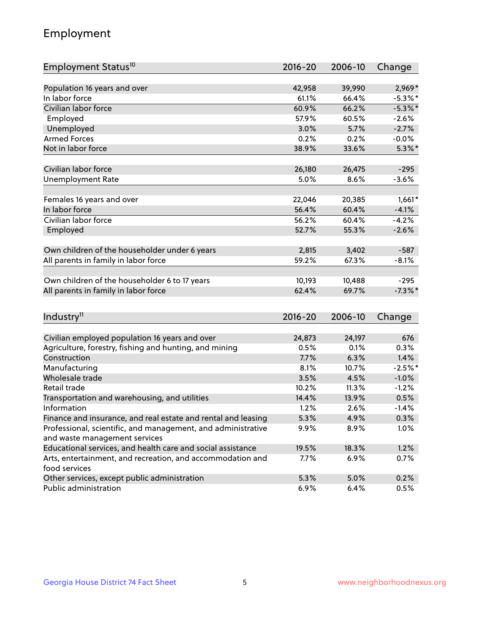## Employment

| Employment Status <sup>10</sup>                                             | $2016 - 20$ | 2006-10 | Change     |
|-----------------------------------------------------------------------------|-------------|---------|------------|
|                                                                             |             |         |            |
| Population 16 years and over                                                | 42,958      | 39,990  | $2,969*$   |
| In labor force                                                              | 61.1%       | 66.4%   | $-5.3\%$ * |
| Civilian labor force                                                        | 60.9%       | 66.2%   | $-5.3\%$ * |
| Employed                                                                    | 57.9%       | 60.5%   | $-2.6%$    |
| Unemployed                                                                  | 3.0%        | 5.7%    | $-2.7%$    |
| <b>Armed Forces</b>                                                         | 0.2%        | 0.2%    | $-0.0%$    |
| Not in labor force                                                          | 38.9%       | 33.6%   | $5.3\%$ *  |
| Civilian labor force                                                        | 26,180      | 26,475  | $-295$     |
|                                                                             | 5.0%        | 8.6%    | $-3.6%$    |
| <b>Unemployment Rate</b>                                                    |             |         |            |
| Females 16 years and over                                                   | 22,046      | 20,385  | $1,661*$   |
| In labor force                                                              | 56.4%       | 60.4%   | $-4.1%$    |
| Civilian labor force                                                        | 56.2%       | 60.4%   | $-4.2%$    |
| Employed                                                                    | 52.7%       | 55.3%   | $-2.6%$    |
|                                                                             |             |         |            |
| Own children of the householder under 6 years                               | 2,815       | 3,402   | $-587$     |
| All parents in family in labor force                                        | 59.2%       | 67.3%   | $-8.1%$    |
| Own children of the householder 6 to 17 years                               | 10,193      | 10,488  | $-295$     |
| All parents in family in labor force                                        | 62.4%       | 69.7%   | $-7.3\%$ * |
|                                                                             |             |         |            |
| Industry <sup>11</sup>                                                      | $2016 - 20$ | 2006-10 | Change     |
|                                                                             |             |         |            |
| Civilian employed population 16 years and over                              | 24,873      | 24,197  | 676        |
| Agriculture, forestry, fishing and hunting, and mining                      | 0.5%        | 0.1%    | 0.3%       |
| Construction                                                                | 7.7%        | 6.3%    | 1.4%       |
| Manufacturing                                                               | 8.1%        | 10.7%   | $-2.5%$ *  |
| Wholesale trade                                                             | 3.5%        | 4.5%    | $-1.0%$    |
| Retail trade                                                                | 10.2%       | 11.3%   | $-1.2%$    |
| Transportation and warehousing, and utilities                               | 14.4%       | 13.9%   | 0.5%       |
| Information                                                                 | 1.2%        | 2.6%    | $-1.4%$    |
| Finance and insurance, and real estate and rental and leasing               | 5.3%        | 4.9%    | 0.3%       |
| Professional, scientific, and management, and administrative                | $9.9\%$     | 8.9%    | 1.0%       |
| and waste management services                                               |             |         |            |
| Educational services, and health care and social assistance                 | 19.5%       | 18.3%   | 1.2%       |
| Arts, entertainment, and recreation, and accommodation and<br>food services | 7.7%        | 6.9%    | 0.7%       |
| Other services, except public administration                                | 5.3%        | 5.0%    | 0.2%       |
| Public administration                                                       | 6.9%        | 6.4%    | 0.5%       |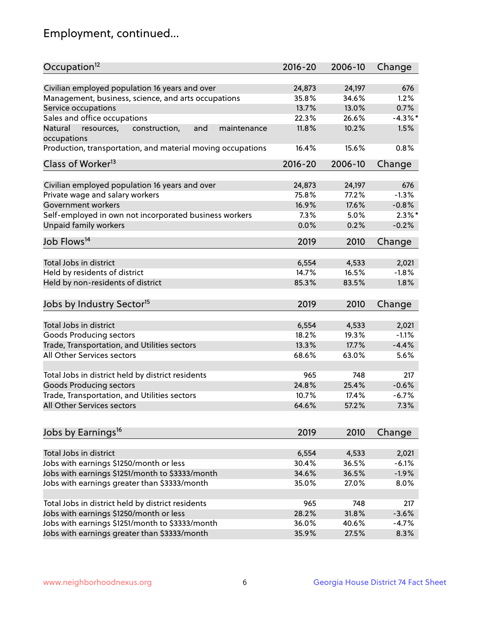## Employment, continued...

| Occupation <sup>12</sup>                                                    | $2016 - 20$ | 2006-10 | Change     |
|-----------------------------------------------------------------------------|-------------|---------|------------|
| Civilian employed population 16 years and over                              |             |         | 676        |
|                                                                             | 24,873      | 24,197  | 1.2%       |
| Management, business, science, and arts occupations                         | 35.8%       | 34.6%   |            |
| Service occupations                                                         | 13.7%       | 13.0%   | 0.7%       |
| Sales and office occupations                                                | 22.3%       | 26.6%   | $-4.3\%$ * |
| and<br>Natural<br>resources,<br>construction,<br>maintenance<br>occupations | 11.8%       | 10.2%   | 1.5%       |
| Production, transportation, and material moving occupations                 | 16.4%       | 15.6%   | 0.8%       |
| Class of Worker <sup>13</sup>                                               | $2016 - 20$ | 2006-10 | Change     |
|                                                                             |             |         | 676        |
| Civilian employed population 16 years and over                              | 24,873      | 24,197  |            |
| Private wage and salary workers                                             | 75.8%       | 77.2%   | $-1.3%$    |
| Government workers                                                          | 16.9%       | 17.6%   | $-0.8%$    |
| Self-employed in own not incorporated business workers                      | 7.3%        | 5.0%    | $2.3\%$ *  |
| Unpaid family workers                                                       | 0.0%        | 0.2%    | $-0.2%$    |
| Job Flows <sup>14</sup>                                                     | 2019        | 2010    | Change     |
|                                                                             |             |         |            |
| Total Jobs in district                                                      | 6,554       | 4,533   | 2,021      |
| Held by residents of district                                               | 14.7%       | 16.5%   | $-1.8%$    |
| Held by non-residents of district                                           | 85.3%       | 83.5%   | 1.8%       |
| Jobs by Industry Sector <sup>15</sup>                                       | 2019        | 2010    | Change     |
| Total Jobs in district                                                      | 6,554       | 4,533   | 2,021      |
|                                                                             | 18.2%       |         |            |
| Goods Producing sectors                                                     |             | 19.3%   | $-1.1%$    |
| Trade, Transportation, and Utilities sectors                                | 13.3%       | 17.7%   | $-4.4%$    |
| All Other Services sectors                                                  | 68.6%       | 63.0%   | 5.6%       |
| Total Jobs in district held by district residents                           | 965         | 748     | 217        |
| <b>Goods Producing sectors</b>                                              | 24.8%       | 25.4%   | $-0.6%$    |
| Trade, Transportation, and Utilities sectors                                | 10.7%       | 17.4%   | $-6.7%$    |
| All Other Services sectors                                                  | 64.6%       | 57.2%   | 7.3%       |
|                                                                             |             |         |            |
| Jobs by Earnings <sup>16</sup>                                              | 2019        | 2010    | Change     |
|                                                                             |             |         |            |
| Total Jobs in district                                                      | 6,554       | 4,533   | 2,021      |
| Jobs with earnings \$1250/month or less                                     | 30.4%       | 36.5%   | $-6.1%$    |
| Jobs with earnings \$1251/month to \$3333/month                             | 34.6%       | 36.5%   | $-1.9%$    |
| Jobs with earnings greater than \$3333/month                                | 35.0%       | 27.0%   | 8.0%       |
| Total Jobs in district held by district residents                           | 965         | 748     | 217        |
| Jobs with earnings \$1250/month or less                                     | 28.2%       | 31.8%   | $-3.6%$    |
| Jobs with earnings \$1251/month to \$3333/month                             | 36.0%       | 40.6%   | $-4.7%$    |
| Jobs with earnings greater than \$3333/month                                | 35.9%       | 27.5%   | 8.3%       |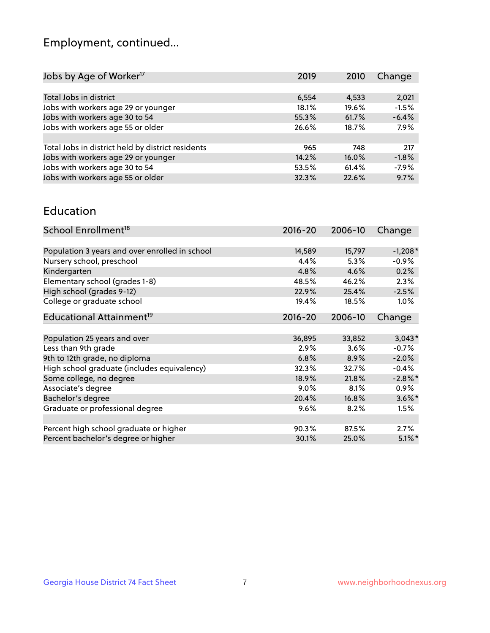## Employment, continued...

| Jobs by Age of Worker <sup>17</sup>               | 2019  | 2010  | Change  |
|---------------------------------------------------|-------|-------|---------|
|                                                   |       |       |         |
| Total Jobs in district                            | 6,554 | 4,533 | 2,021   |
| Jobs with workers age 29 or younger               | 18.1% | 19.6% | $-1.5%$ |
| Jobs with workers age 30 to 54                    | 55.3% | 61.7% | $-6.4%$ |
| Jobs with workers age 55 or older                 | 26.6% | 18.7% | 7.9%    |
|                                                   |       |       |         |
| Total Jobs in district held by district residents | 965   | 748   | 217     |
| Jobs with workers age 29 or younger               | 14.2% | 16.0% | $-1.8%$ |
| Jobs with workers age 30 to 54                    | 53.5% | 61.4% | $-7.9%$ |
| Jobs with workers age 55 or older                 | 32.3% | 22.6% | 9.7%    |

#### Education

| School Enrollment <sup>18</sup>                | $2016 - 20$ | 2006-10 | Change     |
|------------------------------------------------|-------------|---------|------------|
|                                                |             |         |            |
| Population 3 years and over enrolled in school | 14,589      | 15,797  | $-1,208*$  |
| Nursery school, preschool                      | 4.4%        | 5.3%    | $-0.9%$    |
| Kindergarten                                   | 4.8%        | 4.6%    | 0.2%       |
| Elementary school (grades 1-8)                 | 48.5%       | 46.2%   | 2.3%       |
| High school (grades 9-12)                      | 22.9%       | 25.4%   | $-2.5%$    |
| College or graduate school                     | 19.4%       | 18.5%   | 1.0%       |
| Educational Attainment <sup>19</sup>           | $2016 - 20$ | 2006-10 | Change     |
|                                                |             |         |            |
| Population 25 years and over                   | 36,895      | 33,852  | $3,043*$   |
| Less than 9th grade                            | 2.9%        | 3.6%    | $-0.7%$    |
| 9th to 12th grade, no diploma                  | 6.8%        | 8.9%    | $-2.0%$    |
| High school graduate (includes equivalency)    | 32.3%       | 32.7%   | $-0.4%$    |
| Some college, no degree                        | 18.9%       | 21.8%   | $-2.8\%$ * |
| Associate's degree                             | 9.0%        | 8.1%    | 0.9%       |
| Bachelor's degree                              | 20.4%       | 16.8%   | $3.6\%$ *  |
| Graduate or professional degree                | 9.6%        | 8.2%    | 1.5%       |
|                                                |             |         |            |
| Percent high school graduate or higher         | 90.3%       | 87.5%   | $2.7\%$    |
| Percent bachelor's degree or higher            | 30.1%       | 25.0%   | $5.1\%$ *  |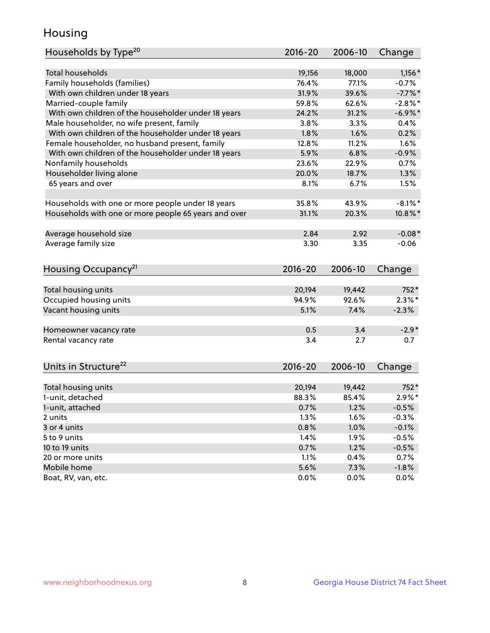## Housing

| Households by Type <sup>20</sup>                     | 2016-20 | 2006-10 | Change     |
|------------------------------------------------------|---------|---------|------------|
|                                                      |         |         |            |
| <b>Total households</b>                              | 19,156  | 18,000  | $1,156*$   |
| Family households (families)                         | 76.4%   | 77.1%   | $-0.7%$    |
| With own children under 18 years                     | 31.9%   | 39.6%   | $-7.7%$ *  |
| Married-couple family                                | 59.8%   | 62.6%   | $-2.8%$    |
| With own children of the householder under 18 years  | 24.2%   | 31.2%   | $-6.9\%$ * |
| Male householder, no wife present, family            | 3.8%    | 3.3%    | 0.4%       |
| With own children of the householder under 18 years  | 1.8%    | 1.6%    | 0.2%       |
| Female householder, no husband present, family       | 12.8%   | 11.2%   | 1.6%       |
| With own children of the householder under 18 years  | 5.9%    | 6.8%    | $-0.9%$    |
| Nonfamily households                                 | 23.6%   | 22.9%   | 0.7%       |
| Householder living alone                             | 20.0%   | 18.7%   | 1.3%       |
| 65 years and over                                    | 8.1%    | 6.7%    | 1.5%       |
|                                                      |         |         |            |
| Households with one or more people under 18 years    | 35.8%   | 43.9%   | $-8.1\%$ * |
| Households with one or more people 65 years and over | 31.1%   | 20.3%   | 10.8%*     |
|                                                      |         |         |            |
| Average household size                               | 2.84    | 2.92    | $-0.08*$   |
| Average family size                                  | 3.30    | 3.35    | $-0.06$    |
| Housing Occupancy <sup>21</sup>                      | 2016-20 | 2006-10 | Change     |
|                                                      |         |         |            |
| Total housing units                                  | 20,194  | 19,442  | 752*       |
| Occupied housing units                               | 94.9%   | 92.6%   | $2.3\%$ *  |
| Vacant housing units                                 | 5.1%    | 7.4%    | $-2.3%$    |
|                                                      |         |         |            |
| Homeowner vacancy rate                               | 0.5     | 3.4     | $-2.9*$    |
| Rental vacancy rate                                  | 3.4     | 2.7     | 0.7        |
| Units in Structure <sup>22</sup>                     | 2016-20 | 2006-10 | Change     |
|                                                      |         |         |            |
| Total housing units                                  | 20,194  | 19,442  | 752*       |
| 1-unit, detached                                     | 88.3%   | 85.4%   | $2.9\%*$   |
| 1-unit, attached                                     | 0.7%    | 1.2%    | $-0.5%$    |
| 2 units                                              | 1.3%    | 1.6%    | $-0.3%$    |
| 3 or 4 units                                         | 0.8%    | 1.0%    | $-0.1%$    |
| 5 to 9 units                                         | 1.4%    | 1.9%    | $-0.5%$    |
| 10 to 19 units                                       | 0.7%    | 1.2%    | $-0.5%$    |
| 20 or more units                                     | 1.1%    | 0.4%    | 0.7%       |
| Mobile home                                          | 5.6%    | 7.3%    | $-1.8%$    |
| Boat, RV, van, etc.                                  | 0.0%    | 0.0%    | 0.0%       |
|                                                      |         |         |            |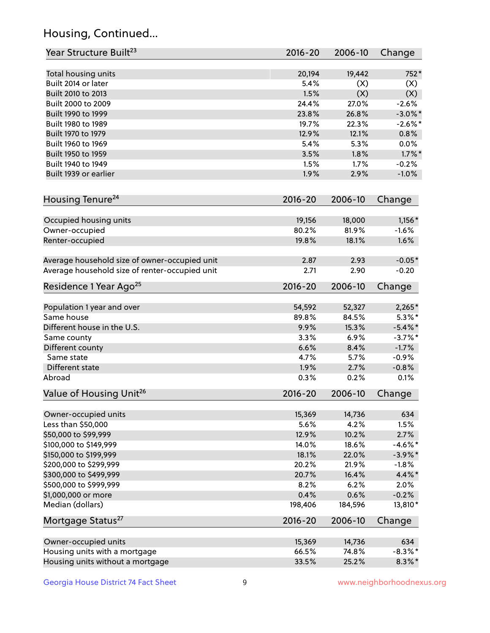## Housing, Continued...

| Year Structure Built <sup>23</sup>             | 2016-20     | 2006-10 | Change     |
|------------------------------------------------|-------------|---------|------------|
| Total housing units                            | 20,194      | 19,442  | 752*       |
| Built 2014 or later                            | 5.4%        | (X)     | (X)        |
| Built 2010 to 2013                             | 1.5%        | (X)     | (X)        |
| Built 2000 to 2009                             | 24.4%       | 27.0%   | $-2.6%$    |
| Built 1990 to 1999                             | 23.8%       | 26.8%   | $-3.0\%$ * |
| Built 1980 to 1989                             | 19.7%       | 22.3%   | $-2.6\%$ * |
| Built 1970 to 1979                             | 12.9%       | 12.1%   | 0.8%       |
| Built 1960 to 1969                             | 5.4%        | 5.3%    | 0.0%       |
| Built 1950 to 1959                             | 3.5%        | 1.8%    | $1.7\%$ *  |
| Built 1940 to 1949                             | 1.5%        | 1.7%    | $-0.2%$    |
| Built 1939 or earlier                          | 1.9%        | 2.9%    | $-1.0%$    |
| Housing Tenure <sup>24</sup>                   | $2016 - 20$ | 2006-10 | Change     |
| Occupied housing units                         | 19,156      | 18,000  | $1,156*$   |
| Owner-occupied                                 | 80.2%       | 81.9%   | $-1.6%$    |
| Renter-occupied                                | 19.8%       | 18.1%   | 1.6%       |
| Average household size of owner-occupied unit  | 2.87        | 2.93    | $-0.05*$   |
| Average household size of renter-occupied unit | 2.71        | 2.90    | $-0.20$    |
| Residence 1 Year Ago <sup>25</sup>             | $2016 - 20$ | 2006-10 | Change     |
| Population 1 year and over                     | 54,592      | 52,327  | $2,265*$   |
| Same house                                     | 89.8%       | 84.5%   | $5.3\%$ *  |
| Different house in the U.S.                    | 9.9%        | 15.3%   | $-5.4\%$ * |
| Same county                                    | 3.3%        | 6.9%    | $-3.7\%$ * |
| Different county                               | 6.6%        | 8.4%    | $-1.7%$    |
| Same state                                     | 4.7%        | 5.7%    | $-0.9%$    |
| Different state                                | 1.9%        | 2.7%    | $-0.8%$    |
| Abroad                                         | 0.3%        | 0.2%    | 0.1%       |
| Value of Housing Unit <sup>26</sup>            | $2016 - 20$ | 2006-10 | Change     |
| Owner-occupied units                           | 15,369      | 14,736  | 634        |
| Less than \$50,000                             | 5.6%        | 4.2%    | 1.5%       |
| \$50,000 to \$99,999                           | 12.9%       | 10.2%   | 2.7%       |
| \$100,000 to \$149,999                         | 14.0%       | 18.6%   | $-4.6\%$ * |
| \$150,000 to \$199,999                         | 18.1%       | 22.0%   | $-3.9\%$ * |
| \$200,000 to \$299,999                         | 20.2%       | 21.9%   | $-1.8%$    |
| \$300,000 to \$499,999                         | 20.7%       | 16.4%   | 4.4%*      |
| \$500,000 to \$999,999                         | 8.2%        | 6.2%    | 2.0%       |
| \$1,000,000 or more                            | 0.4%        | 0.6%    | $-0.2%$    |
| Median (dollars)                               | 198,406     | 184,596 | 13,810*    |
| Mortgage Status <sup>27</sup>                  | $2016 - 20$ | 2006-10 | Change     |
| Owner-occupied units                           | 15,369      | 14,736  | 634        |
| Housing units with a mortgage                  | 66.5%       | 74.8%   | $-8.3\%$ * |
| Housing units without a mortgage               | 33.5%       | 25.2%   | $8.3\%$ *  |
|                                                |             |         |            |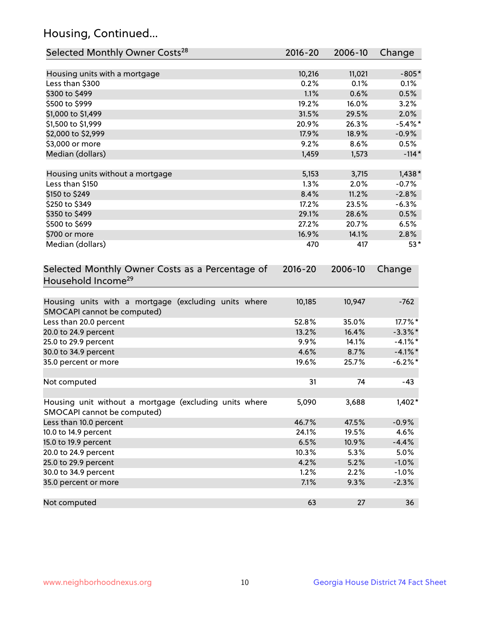## Housing, Continued...

| Selected Monthly Owner Costs <sup>28</sup>                                            | 2016-20     | 2006-10 | Change     |
|---------------------------------------------------------------------------------------|-------------|---------|------------|
| Housing units with a mortgage                                                         | 10,216      | 11,021  | $-805*$    |
| Less than \$300                                                                       | 0.2%        | 0.1%    | 0.1%       |
| \$300 to \$499                                                                        | 1.1%        | 0.6%    | 0.5%       |
| \$500 to \$999                                                                        | 19.2%       | 16.0%   | 3.2%       |
| \$1,000 to \$1,499                                                                    | 31.5%       | 29.5%   | 2.0%       |
| \$1,500 to \$1,999                                                                    | 20.9%       | 26.3%   | $-5.4\%$ * |
| \$2,000 to \$2,999                                                                    | 17.9%       | 18.9%   | $-0.9%$    |
| \$3,000 or more                                                                       | 9.2%        | 8.6%    | 0.5%       |
| Median (dollars)                                                                      | 1,459       | 1,573   | $-114*$    |
| Housing units without a mortgage                                                      | 5,153       | 3,715   | $1,438*$   |
| Less than \$150                                                                       | 1.3%        | 2.0%    | $-0.7%$    |
| \$150 to \$249                                                                        | 8.4%        | 11.2%   | $-2.8%$    |
| \$250 to \$349                                                                        | 17.2%       | 23.5%   | $-6.3%$    |
| \$350 to \$499                                                                        | 29.1%       | 28.6%   | 0.5%       |
| \$500 to \$699                                                                        | 27.2%       | 20.7%   | 6.5%       |
| \$700 or more                                                                         | 16.9%       | 14.1%   | 2.8%       |
| Median (dollars)                                                                      | 470         | 417     | $53*$      |
| Selected Monthly Owner Costs as a Percentage of<br>Household Income <sup>29</sup>     | $2016 - 20$ | 2006-10 | Change     |
| Housing units with a mortgage (excluding units where<br>SMOCAPI cannot be computed)   | 10,185      | 10,947  | $-762$     |
| Less than 20.0 percent                                                                | 52.8%       | 35.0%   | 17.7%*     |
| 20.0 to 24.9 percent                                                                  | 13.2%       | 16.4%   | $-3.3\%$ * |
| 25.0 to 29.9 percent                                                                  | 9.9%        | 14.1%   | $-4.1\%$ * |
| 30.0 to 34.9 percent                                                                  | 4.6%        | 8.7%    | $-4.1\%$ * |
| 35.0 percent or more                                                                  | 19.6%       | 25.7%   | $-6.2\%$ * |
| Not computed                                                                          | 31          | 74      | $-43$      |
| Housing unit without a mortgage (excluding units where<br>SMOCAPI cannot be computed) | 5,090       | 3,688   | 1,402*     |
| Less than 10.0 percent                                                                | 46.7%       | 47.5%   | $-0.9%$    |
| 10.0 to 14.9 percent                                                                  | 24.1%       | 19.5%   | 4.6%       |
| 15.0 to 19.9 percent                                                                  | 6.5%        | 10.9%   | $-4.4%$    |
| 20.0 to 24.9 percent                                                                  | 10.3%       | 5.3%    | 5.0%       |
| 25.0 to 29.9 percent                                                                  | 4.2%        | 5.2%    | $-1.0%$    |
| 30.0 to 34.9 percent                                                                  | 1.2%        | 2.2%    | $-1.0%$    |
| 35.0 percent or more                                                                  | 7.1%        | 9.3%    | $-2.3%$    |
| Not computed                                                                          | 63          | 27      | 36         |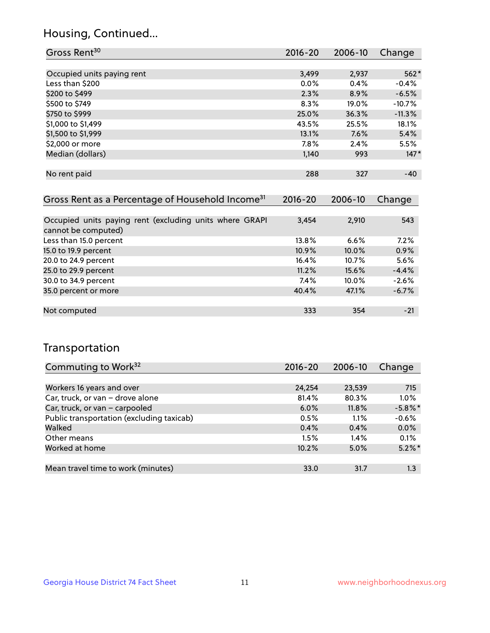## Housing, Continued...

| Gross Rent <sup>30</sup>   | 2016-20 | 2006-10 | Change   |
|----------------------------|---------|---------|----------|
|                            |         |         |          |
| Occupied units paying rent | 3,499   | 2,937   | $562*$   |
| Less than \$200            | 0.0%    | 0.4%    | $-0.4%$  |
| \$200 to \$499             | 2.3%    | 8.9%    | $-6.5%$  |
| \$500 to \$749             | 8.3%    | 19.0%   | $-10.7%$ |
| \$750 to \$999             | 25.0%   | 36.3%   | $-11.3%$ |
| \$1,000 to \$1,499         | 43.5%   | 25.5%   | 18.1%    |
| \$1,500 to \$1,999         | 13.1%   | 7.6%    | 5.4%     |
| \$2,000 or more            | 7.8%    | 2.4%    | 5.5%     |
| Median (dollars)           | 1,140   | 993     | $147*$   |
|                            |         |         |          |
| No rent paid               | 288     | 327     | $-40$    |

| Gross Rent as a Percentage of Household Income <sup>31</sup>                   | $2016 - 20$ | 2006-10  | Change  |
|--------------------------------------------------------------------------------|-------------|----------|---------|
|                                                                                |             |          |         |
| Occupied units paying rent (excluding units where GRAPI<br>cannot be computed) | 3,454       | 2,910    | 543     |
| Less than 15.0 percent                                                         | 13.8%       | 6.6%     | 7.2%    |
| 15.0 to 19.9 percent                                                           | 10.9%       | $10.0\%$ | 0.9%    |
| 20.0 to 24.9 percent                                                           | 16.4%       | 10.7%    | 5.6%    |
| 25.0 to 29.9 percent                                                           | 11.2%       | 15.6%    | $-4.4%$ |
| 30.0 to 34.9 percent                                                           | 7.4%        | $10.0\%$ | $-2.6%$ |
| 35.0 percent or more                                                           | 40.4%       | 47.1%    | $-6.7%$ |
|                                                                                |             |          |         |
| Not computed                                                                   | 333         | 354      | $-21$   |

## Transportation

| Commuting to Work <sup>32</sup>           | 2016-20 | 2006-10 | Change     |
|-------------------------------------------|---------|---------|------------|
|                                           |         |         |            |
| Workers 16 years and over                 | 24,254  | 23,539  | 715        |
| Car, truck, or van - drove alone          | 81.4%   | 80.3%   | 1.0%       |
| Car, truck, or van - carpooled            | 6.0%    | 11.8%   | $-5.8\%$ * |
| Public transportation (excluding taxicab) | 0.5%    | 1.1%    | $-0.6%$    |
| Walked                                    | 0.4%    | 0.4%    | 0.0%       |
| Other means                               | 1.5%    | $1.4\%$ | 0.1%       |
| Worked at home                            | 10.2%   | 5.0%    | $5.2\%$ *  |
|                                           |         |         |            |
| Mean travel time to work (minutes)        | 33.0    | 31.7    | 1.3        |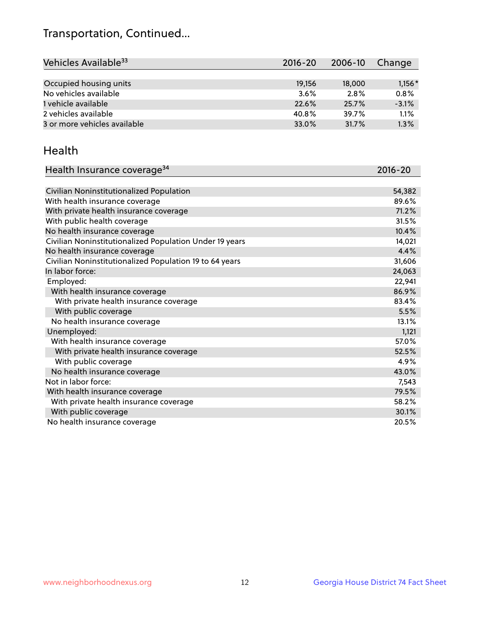## Transportation, Continued...

| Vehicles Available <sup>33</sup> | $2016 - 20$ | 2006-10 | Change   |
|----------------------------------|-------------|---------|----------|
|                                  |             |         |          |
| Occupied housing units           | 19,156      | 18,000  | $1,156*$ |
| No vehicles available            | 3.6%        | 2.8%    | 0.8%     |
| 1 vehicle available              | 22.6%       | 25.7%   | $-3.1%$  |
| 2 vehicles available             | 40.8%       | 39.7%   | 1.1%     |
| 3 or more vehicles available     | 33.0%       | 31.7%   | 1.3%     |

#### Health

| Health Insurance coverage <sup>34</sup>                 | 2016-20 |
|---------------------------------------------------------|---------|
|                                                         |         |
| Civilian Noninstitutionalized Population                | 54,382  |
| With health insurance coverage                          | 89.6%   |
| With private health insurance coverage                  | 71.2%   |
| With public health coverage                             | 31.5%   |
| No health insurance coverage                            | 10.4%   |
| Civilian Noninstitutionalized Population Under 19 years | 14,021  |
| No health insurance coverage                            | 4.4%    |
| Civilian Noninstitutionalized Population 19 to 64 years | 31,606  |
| In labor force:                                         | 24,063  |
| Employed:                                               | 22,941  |
| With health insurance coverage                          | 86.9%   |
| With private health insurance coverage                  | 83.4%   |
| With public coverage                                    | 5.5%    |
| No health insurance coverage                            | 13.1%   |
| Unemployed:                                             | 1,121   |
| With health insurance coverage                          | 57.0%   |
| With private health insurance coverage                  | 52.5%   |
| With public coverage                                    | 4.9%    |
| No health insurance coverage                            | 43.0%   |
| Not in labor force:                                     | 7,543   |
| With health insurance coverage                          | 79.5%   |
| With private health insurance coverage                  | 58.2%   |
| With public coverage                                    | 30.1%   |
| No health insurance coverage                            | 20.5%   |